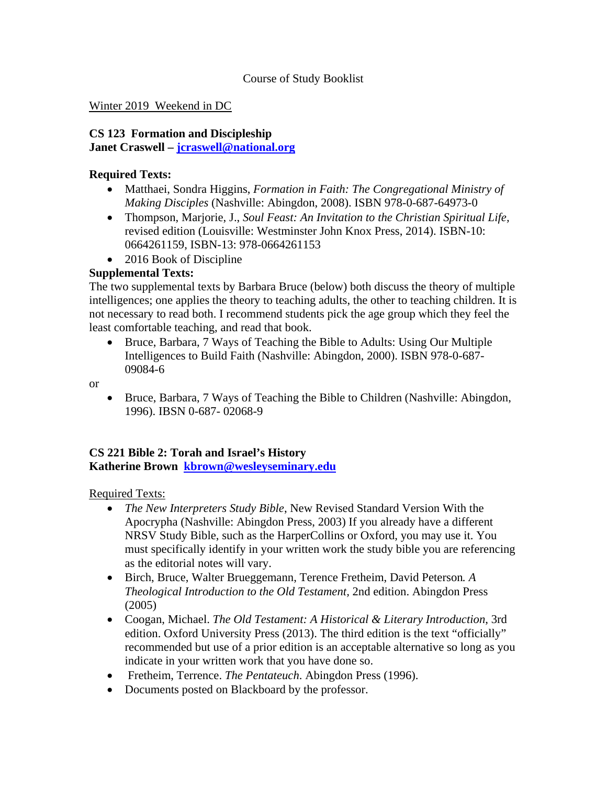## Course of Study Booklist

### Winter 2019 Weekend in DC

## **CS 123 Formation and Discipleship**

**Janet Craswell – jcraswell@national.org**

### **Required Texts:**

- Matthaei, Sondra Higgins, *Formation in Faith: The Congregational Ministry of Making Disciples* (Nashville: Abingdon, 2008). ISBN 978-0-687-64973-0
- Thompson, Marjorie, J., *Soul Feast: An Invitation to the Christian Spiritual Life,* revised edition (Louisville: Westminster John Knox Press, 2014). ISBN-10: 0664261159, ISBN-13: 978-0664261153
- 2016 Book of Discipline

# **Supplemental Texts:**

The two supplemental texts by Barbara Bruce (below) both discuss the theory of multiple intelligences; one applies the theory to teaching adults, the other to teaching children. It is not necessary to read both. I recommend students pick the age group which they feel the least comfortable teaching, and read that book.

 Bruce, Barbara, 7 Ways of Teaching the Bible to Adults: Using Our Multiple Intelligences to Build Faith (Nashville: Abingdon, 2000). ISBN 978-0-687- 09084-6

or

 Bruce, Barbara, 7 Ways of Teaching the Bible to Children (Nashville: Abingdon, 1996). IBSN 0-687- 02068-9

## **CS 221 Bible 2: Torah and Israel's History Katherine Brown kbrown@wesleyseminary.edu**

Required Texts:

- *The New Interpreters Study Bible*, New Revised Standard Version With the Apocrypha (Nashville: Abingdon Press, 2003) If you already have a different NRSV Study Bible, such as the HarperCollins or Oxford, you may use it. You must specifically identify in your written work the study bible you are referencing as the editorial notes will vary.
- Birch, Bruce, Walter Brueggemann, Terence Fretheim, David Peterson*. A Theological Introduction to the Old Testament,* 2nd edition. Abingdon Press (2005)
- Coogan, Michael. *The Old Testament: A Historical & Literary Introduction*, 3rd edition. Oxford University Press (2013). The third edition is the text "officially" recommended but use of a prior edition is an acceptable alternative so long as you indicate in your written work that you have done so.
- Fretheim, Terrence. *The Pentateuch*. Abingdon Press (1996).
- Documents posted on Blackboard by the professor.